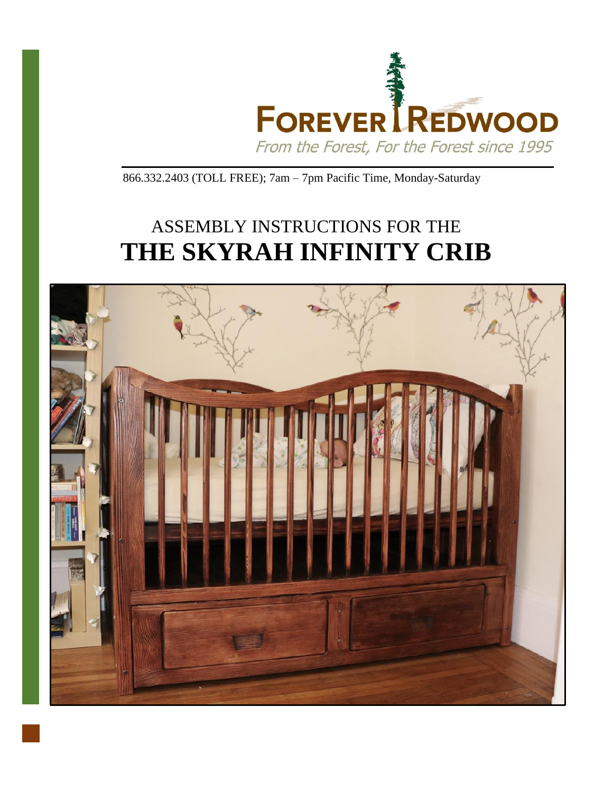

866.332.2403 (TOLL FREE); 7am – 7pm Pacific Time, Monday-Saturday

## ASSEMBLY INSTRUCTIONS FOR THE **THE SKYRAH INFINITY CRIB**

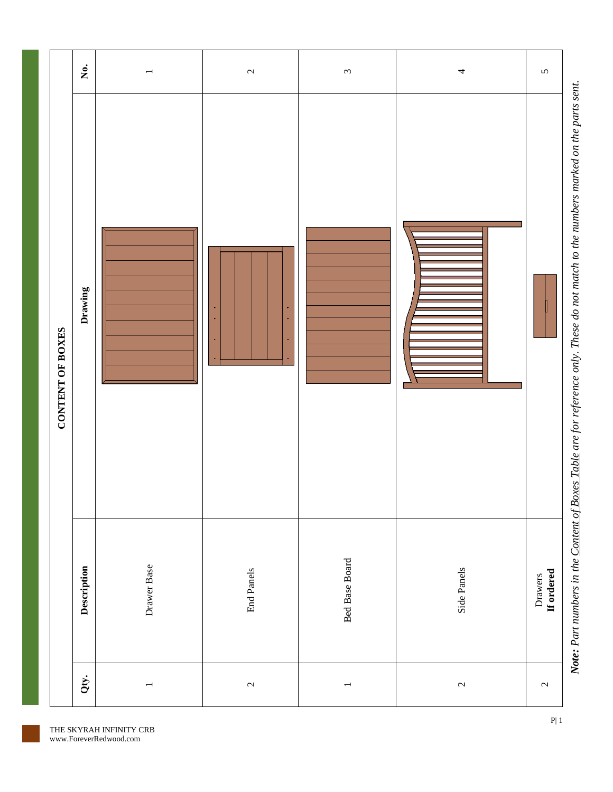| CONTENT OF BOXES | Drawing     |             |                   |                |                |                       |
|------------------|-------------|-------------|-------------------|----------------|----------------|-----------------------|
|                  |             |             |                   |                |                |                       |
|                  | Description | Drawer Base | <b>End Panels</b> | Bed Base Board | Side Panels    | If ordered<br>Drawers |
| Qty.             |             |             | $\mathbf{C}$      |                | $\mathfrak{c}$ | $\mathbf{\sim}$       |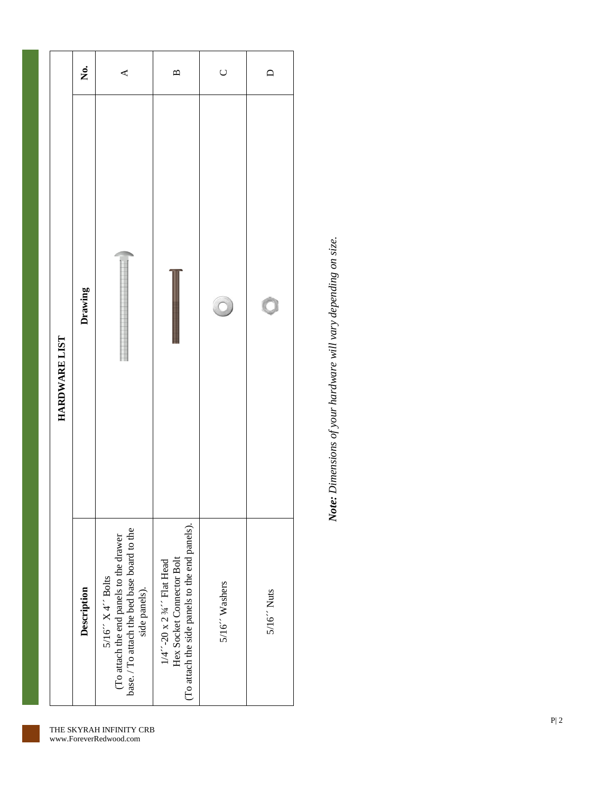|               | Ż.          | $\blacktriangleleft$                                                                                                           | $\mathbf{a}$                                                                                             | $\cup$        | $\Box$                |
|---------------|-------------|--------------------------------------------------------------------------------------------------------------------------------|----------------------------------------------------------------------------------------------------------|---------------|-----------------------|
| HARDWARE LIST | Drawing     |                                                                                                                                |                                                                                                          |               | $\bigcirc$            |
|               | Description | base. / To attach the bed base board to the<br>(To attach the end panels to the drawer<br>$5/16''$ X 4" Bolts<br>side panels). | (To attach the side panels to the end panels).<br>Hex Socket Connector Bolt<br>1/4"-20 x 2 34" Flat Head | 5/16" Washers | $5/16$ $\degree$ Nuts |

Note: Dimensions of your hardware will vary depending on size. *Note: Dimensions of your hardware will vary depending on size.*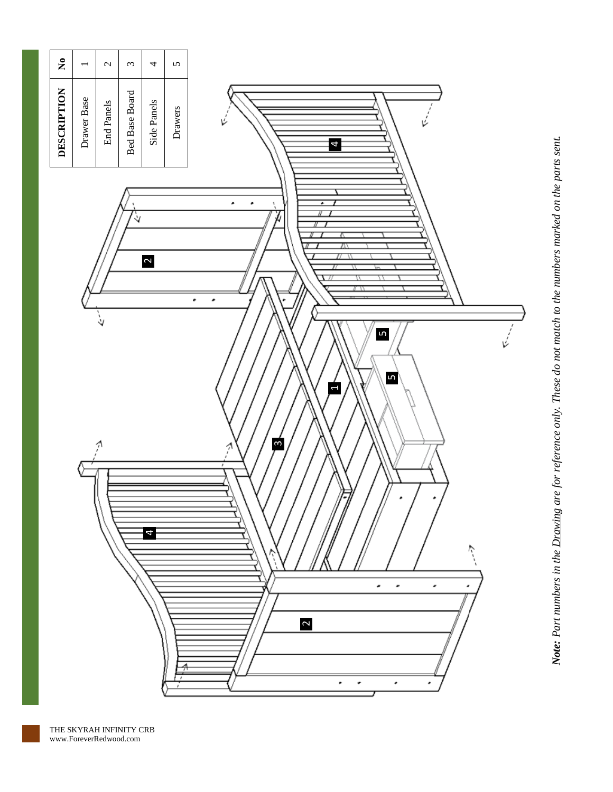

Note: Part numbers in the Drawing are for reference only. These do not match to the numbers marked on the parts sent. *Note: Part numbers in the Drawing are for reference only. These do not match to the numbers marked on the parts sent.*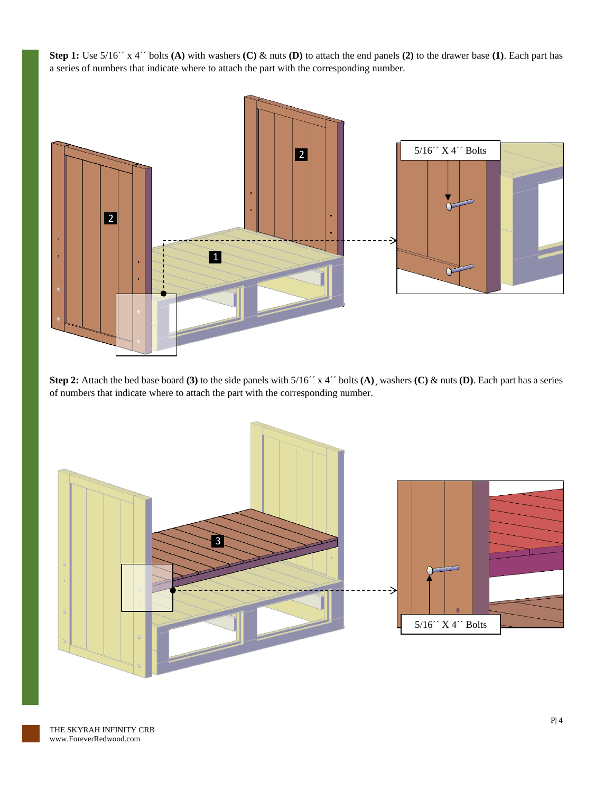**Step 1:** Use 5/16´´ x 4´´ bolts **(A)** with washers **(C)** & nuts **(D)** to attach the end panels **(2)** to the drawer base **(1)**. Each part has a series of numbers that indicate where to attach the part with the corresponding number.



**Step 2:** Attach the bed base board **(3)** to the side panels with 5/16´´ x 4´´ bolts **(A)**¸ washers **(C)** & nuts **(D)**. Each part has a series of numbers that indicate where to attach the part with the corresponding number.

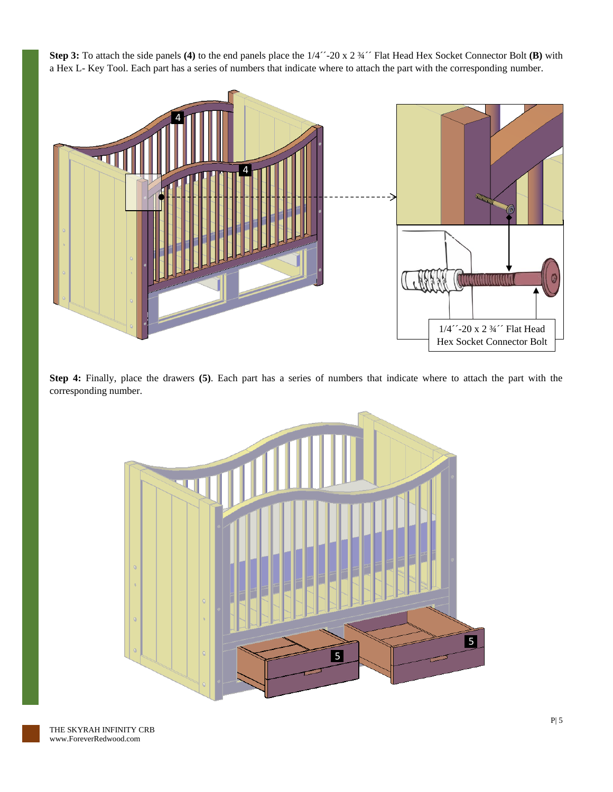**Step 3:** To attach the side panels **(4)** to the end panels place the 1/4´´-20 x 2 ¾´´ Flat Head Hex Socket Connector Bolt **(B)** with a Hex L- Key Tool. Each part has a series of numbers that indicate where to attach the part with the corresponding number.



**Step 4:** Finally, place the drawers **(5)**. Each part has a series of numbers that indicate where to attach the part with the corresponding number.